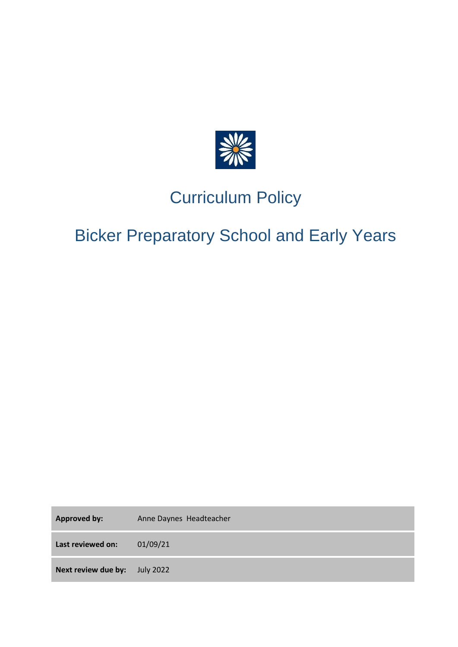

## Curriculum Policy

# Bicker Preparatory School and Early Years

Approved by: Anne Daynes Headteacher **Last reviewed on:** 01/09/21 **Next review due by:** July 2022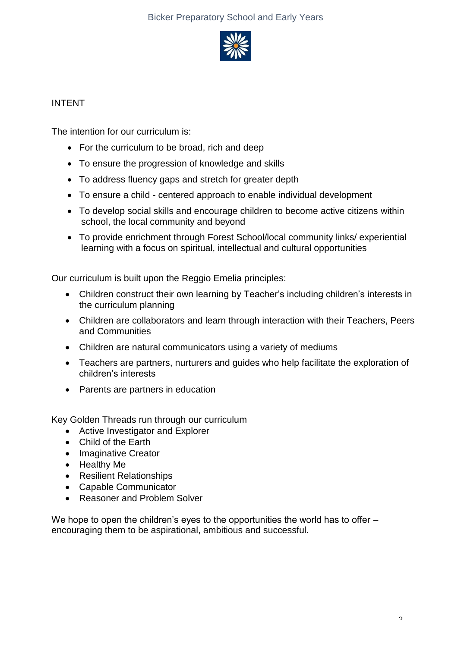

## INTENT

The intention for our curriculum is:

- For the curriculum to be broad, rich and deep
- To ensure the progression of knowledge and skills
- To address fluency gaps and stretch for greater depth
- To ensure a child centered approach to enable individual development
- To develop social skills and encourage children to become active citizens within school, the local community and beyond
- To provide enrichment through Forest School/local community links/ experiential learning with a focus on spiritual, intellectual and cultural opportunities

Our curriculum is built upon the Reggio Emelia principles:

- Children construct their own learning by Teacher's including children's interests in the curriculum planning
- Children are collaborators and learn through interaction with their Teachers, Peers and Communities
- Children are natural communicators using a variety of mediums
- Teachers are partners, nurturers and guides who help facilitate the exploration of children's interests
- Parents are partners in education

Key Golden Threads run through our curriculum

- Active Investigator and Explorer
- Child of the Earth
- Imaginative Creator
- Healthy Me
- Resilient Relationships
- Capable Communicator
- Reasoner and Problem Solver

We hope to open the children's eyes to the opportunities the world has to offer – encouraging them to be aspirational, ambitious and successful.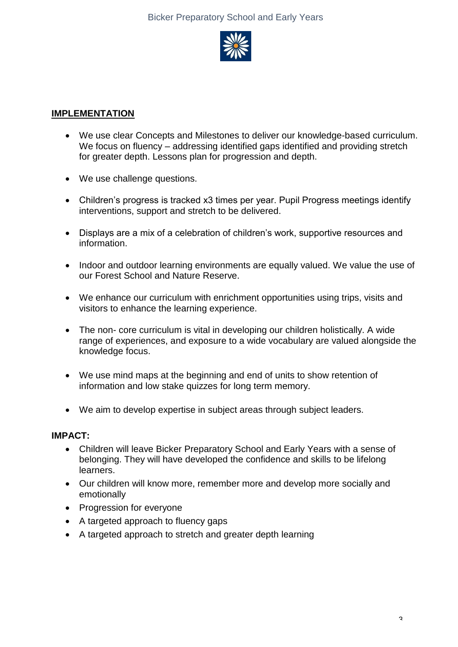

## **IMPLEMENTATION**

- We use clear Concepts and Milestones to deliver our knowledge-based curriculum. We focus on fluency – addressing identified gaps identified and providing stretch for greater depth. Lessons plan for progression and depth.
- We use challenge questions.
- Children's progress is tracked x3 times per year. Pupil Progress meetings identify interventions, support and stretch to be delivered.
- Displays are a mix of a celebration of children's work, supportive resources and information.
- Indoor and outdoor learning environments are equally valued. We value the use of our Forest School and Nature Reserve.
- We enhance our curriculum with enrichment opportunities using trips, visits and visitors to enhance the learning experience.
- The non- core curriculum is vital in developing our children holistically. A wide range of experiences, and exposure to a wide vocabulary are valued alongside the knowledge focus.
- We use mind maps at the beginning and end of units to show retention of information and low stake quizzes for long term memory.
- We aim to develop expertise in subject areas through subject leaders.

#### **IMPACT:**

- Children will leave Bicker Preparatory School and Early Years with a sense of belonging. They will have developed the confidence and skills to be lifelong learners.
- Our children will know more, remember more and develop more socially and emotionally
- Progression for everyone
- A targeted approach to fluency gaps
- A targeted approach to stretch and greater depth learning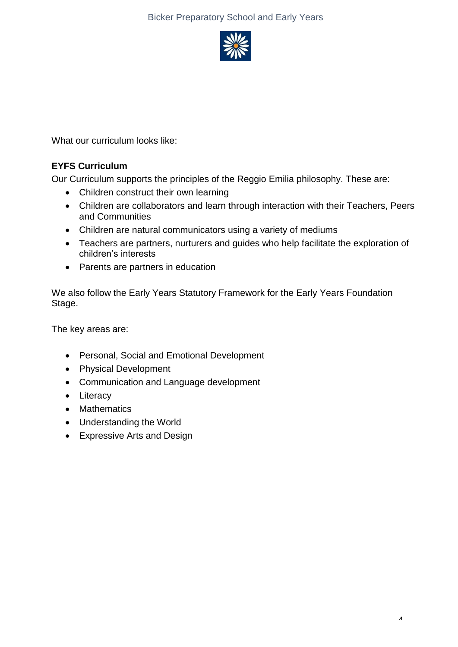## Bicker Preparatory School and Early Years



What our curriculum looks like:

## **EYFS Curriculum**

Our Curriculum supports the principles of the Reggio Emilia philosophy. These are:

- Children construct their own learning
- Children are collaborators and learn through interaction with their Teachers, Peers and Communities
- Children are natural communicators using a variety of mediums
- Teachers are partners, nurturers and guides who help facilitate the exploration of children's interests
- Parents are partners in education

We also follow the Early Years Statutory Framework for the Early Years Foundation Stage.

The key areas are:

- Personal, Social and Emotional Development
- Physical Development
- Communication and Language development
- Literacy
- Mathematics
- Understanding the World
- Expressive Arts and Design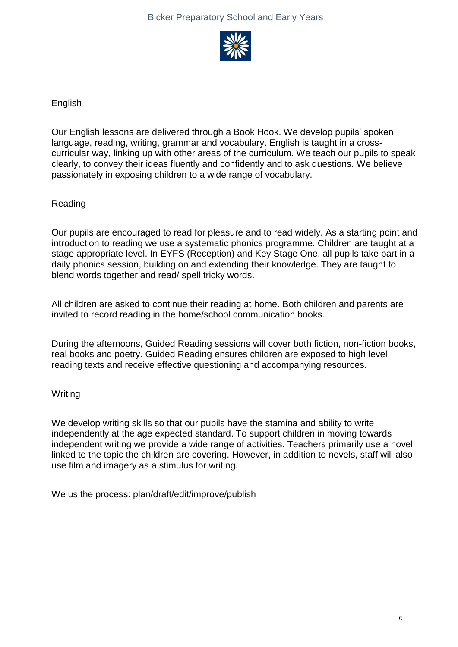

## English

Our English lessons are delivered through a Book Hook. We develop pupils' spoken language, reading, writing, grammar and vocabulary. English is taught in a crosscurricular way, linking up with other areas of the curriculum. We teach our pupils to speak clearly, to convey their ideas fluently and confidently and to ask questions. We believe passionately in exposing children to a wide range of vocabulary.

## Reading

Our pupils are encouraged to read for pleasure and to read widely. As a starting point and introduction to reading we use a systematic phonics programme. Children are taught at a stage appropriate level. In EYFS (Reception) and Key Stage One, all pupils take part in a daily phonics session, building on and extending their knowledge. They are taught to blend words together and read/ spell tricky words.

All children are asked to continue their reading at home. Both children and parents are invited to record reading in the home/school communication books.

During the afternoons, Guided Reading sessions will cover both fiction, non-fiction books, real books and poetry. Guided Reading ensures children are exposed to high level reading texts and receive effective questioning and accompanying resources.

## **Writing**

We develop writing skills so that our pupils have the stamina and ability to write independently at the age expected standard. To support children in moving towards independent writing we provide a wide range of activities. Teachers primarily use a novel linked to the topic the children are covering. However, in addition to novels, staff will also use film and imagery as a stimulus for writing.

We us the process: plan/draft/edit/improve/publish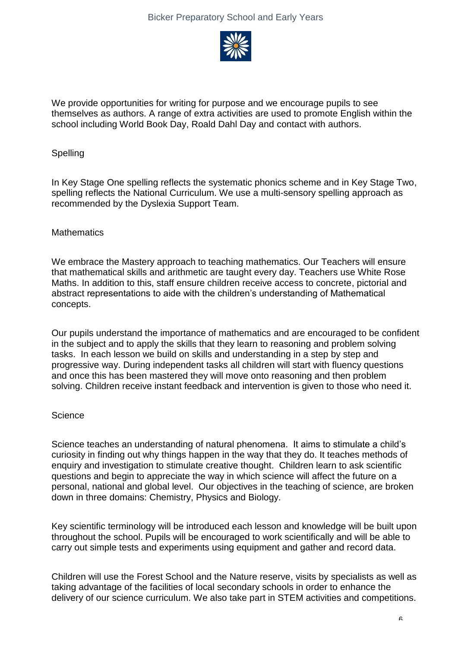

We provide opportunities for writing for purpose and we encourage pupils to see themselves as authors. A range of extra activities are used to promote English within the school including World Book Day, Roald Dahl Day and contact with authors.

#### **Spelling**

In Key Stage One spelling reflects the systematic phonics scheme and in Key Stage Two, spelling reflects the National Curriculum. We use a multi-sensory spelling approach as recommended by the Dyslexia Support Team.

#### **Mathematics**

We embrace the Mastery approach to teaching mathematics. Our Teachers will ensure that mathematical skills and arithmetic are taught every day. Teachers use White Rose Maths. In addition to this, staff ensure children receive access to concrete, pictorial and abstract representations to aide with the children's understanding of Mathematical concepts.

Our pupils understand the importance of mathematics and are encouraged to be confident in the subject and to apply the skills that they learn to reasoning and problem solving tasks. In each lesson we build on skills and understanding in a step by step and progressive way. During independent tasks all children will start with fluency questions and once this has been mastered they will move onto reasoning and then problem solving. Children receive instant feedback and intervention is given to those who need it.

#### **Science**

Science teaches an understanding of natural phenomena. It aims to stimulate a child's curiosity in finding out why things happen in the way that they do. It teaches methods of enquiry and investigation to stimulate creative thought. Children learn to ask scientific questions and begin to appreciate the way in which science will affect the future on a personal, national and global level. Our objectives in the teaching of science, are broken down in three domains: Chemistry, Physics and Biology.

Key scientific terminology will be introduced each lesson and knowledge will be built upon throughout the school. Pupils will be encouraged to work scientifically and will be able to carry out simple tests and experiments using equipment and gather and record data.

Children will use the Forest School and the Nature reserve, visits by specialists as well as taking advantage of the facilities of local secondary schools in order to enhance the delivery of our science curriculum. We also take part in STEM activities and competitions.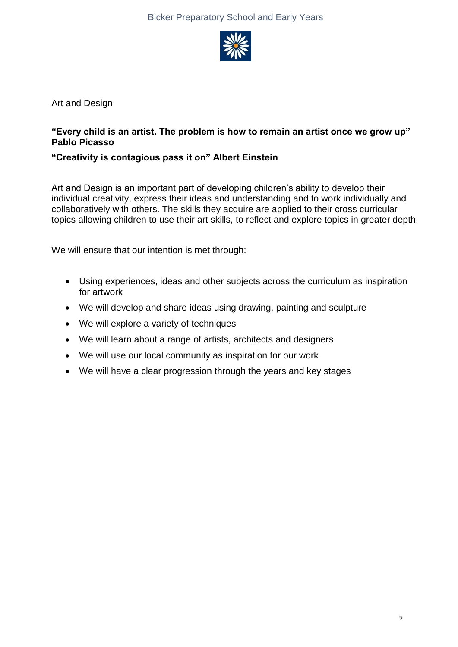

Art and Design

## **"Every child is an artist. The problem is how to remain an artist once we grow up" Pablo Picasso**

## **"Creativity is contagious pass it on" Albert Einstein**

Art and Design is an important part of developing children's ability to develop their individual creativity, express their ideas and understanding and to work individually and collaboratively with others. The skills they acquire are applied to their cross curricular topics allowing children to use their art skills, to reflect and explore topics in greater depth.

We will ensure that our intention is met through:

- Using experiences, ideas and other subjects across the curriculum as inspiration for artwork
- We will develop and share ideas using drawing, painting and sculpture
- We will explore a variety of techniques
- We will learn about a range of artists, architects and designers
- We will use our local community as inspiration for our work
- We will have a clear progression through the years and key stages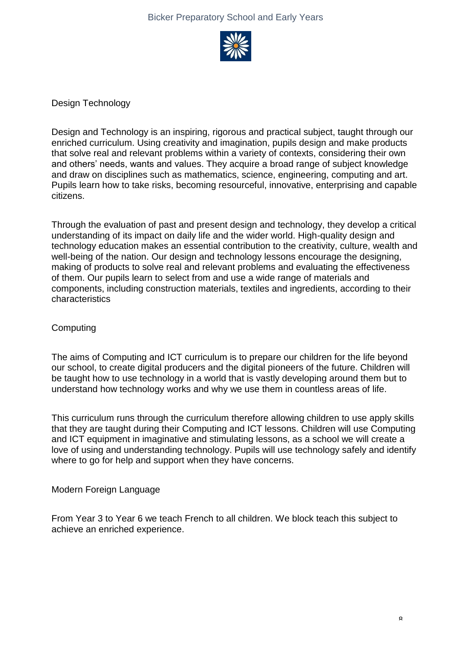

Design Technology

Design and Technology is an inspiring, rigorous and practical subject, taught through our enriched curriculum. Using creativity and imagination, pupils design and make products that solve real and relevant problems within a variety of contexts, considering their own and others' needs, wants and values. They acquire a broad range of subject knowledge and draw on disciplines such as mathematics, science, engineering, computing and art. Pupils learn how to take risks, becoming resourceful, innovative, enterprising and capable citizens.

Through the evaluation of past and present design and technology, they develop a critical understanding of its impact on daily life and the wider world. High-quality design and technology education makes an essential contribution to the creativity, culture, wealth and well-being of the nation. Our design and technology lessons encourage the designing, making of products to solve real and relevant problems and evaluating the effectiveness of them. Our pupils learn to select from and use a wide range of materials and components, including construction materials, textiles and ingredients, according to their characteristics

#### **Computing**

The aims of Computing and ICT curriculum is to prepare our children for the life beyond our school, to create digital producers and the digital pioneers of the future. Children will be taught how to use technology in a world that is vastly developing around them but to understand how technology works and why we use them in countless areas of life.

This curriculum runs through the curriculum therefore allowing children to use apply skills that they are taught during their Computing and ICT lessons. Children will use Computing and ICT equipment in imaginative and stimulating lessons, as a school we will create a love of using and understanding technology. Pupils will use technology safely and identify where to go for help and support when they have concerns.

#### Modern Foreign Language

From Year 3 to Year 6 we teach French to all children. We block teach this subject to achieve an enriched experience.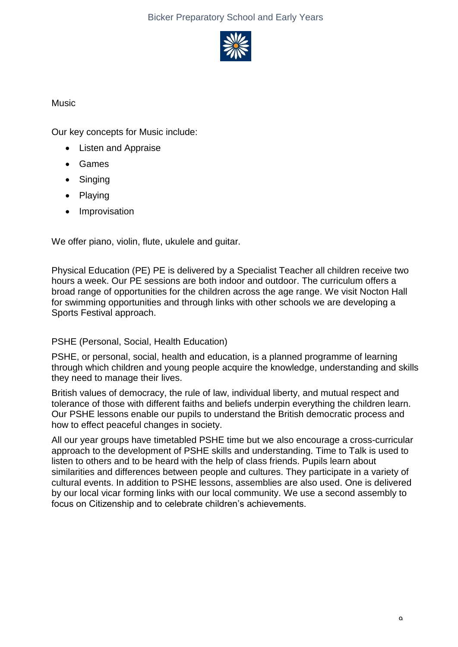

## Music

Our key concepts for Music include:

- Listen and Appraise
- Games
- Singing
- Playing
- **Improvisation**

We offer piano, violin, flute, ukulele and guitar.

Physical Education (PE) PE is delivered by a Specialist Teacher all children receive two hours a week. Our PE sessions are both indoor and outdoor. The curriculum offers a broad range of opportunities for the children across the age range. We visit Nocton Hall for swimming opportunities and through links with other schools we are developing a Sports Festival approach.

## PSHE (Personal, Social, Health Education)

PSHE, or personal, social, health and education, is a planned programme of learning through which children and young people acquire the knowledge, understanding and skills they need to manage their lives.

British values of democracy, the rule of law, individual liberty, and mutual respect and tolerance of those with different faiths and beliefs underpin everything the children learn. Our PSHE lessons enable our pupils to understand the British democratic process and how to effect peaceful changes in society.

All our year groups have timetabled PSHE time but we also encourage a cross-curricular approach to the development of PSHE skills and understanding. Time to Talk is used to listen to others and to be heard with the help of class friends. Pupils learn about similarities and differences between people and cultures. They participate in a variety of cultural events. In addition to PSHE lessons, assemblies are also used. One is delivered by our local vicar forming links with our local community. We use a second assembly to focus on Citizenship and to celebrate children's achievements.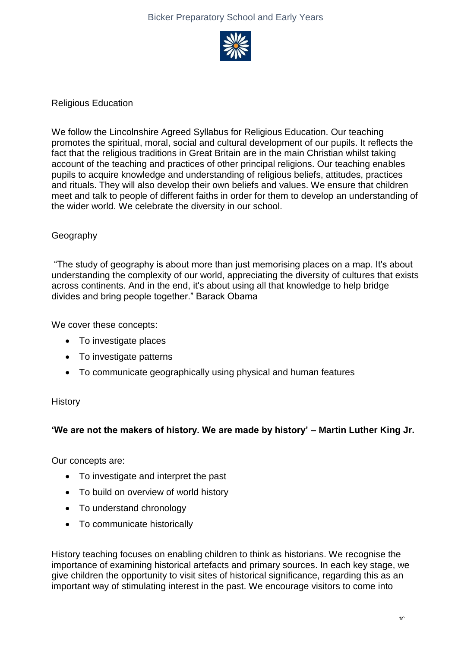

Religious Education

We follow the Lincolnshire Agreed Syllabus for Religious Education. Our teaching promotes the spiritual, moral, social and cultural development of our pupils. It reflects the fact that the religious traditions in Great Britain are in the main Christian whilst taking account of the teaching and practices of other principal religions. Our teaching enables pupils to acquire knowledge and understanding of religious beliefs, attitudes, practices and rituals. They will also develop their own beliefs and values. We ensure that children meet and talk to people of different faiths in order for them to develop an understanding of the wider world. We celebrate the diversity in our school.

#### Geography

"The study of geography is about more than just memorising places on a map. It's about understanding the complexity of our world, appreciating the diversity of cultures that exists across continents. And in the end, it's about using all that knowledge to help bridge divides and bring people together." Barack Obama

We cover these concepts:

- To investigate places
- To investigate patterns
- To communicate geographically using physical and human features

#### **History**

#### **'We are not the makers of history. We are made by history' – Martin Luther King Jr.**

Our concepts are:

- To investigate and interpret the past
- To build on overview of world history
- To understand chronology
- To communicate historically

History teaching focuses on enabling children to think as historians. We recognise the importance of examining historical artefacts and primary sources. In each key stage, we give children the opportunity to visit sites of historical significance, regarding this as an important way of stimulating interest in the past. We encourage visitors to come into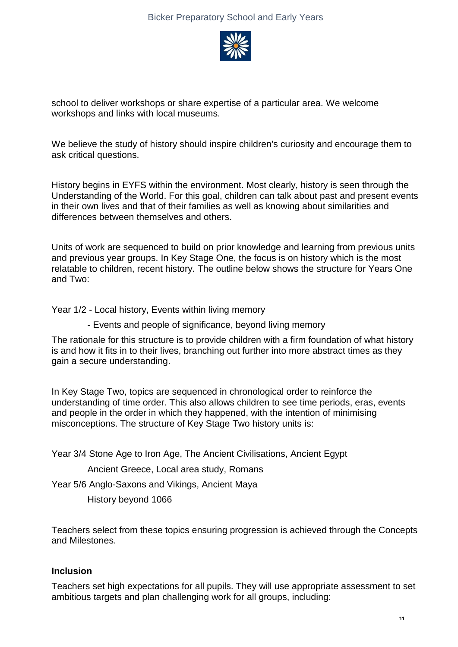

school to deliver workshops or share expertise of a particular area. We welcome workshops and links with local museums.

We believe the study of history should inspire children's curiosity and encourage them to ask critical questions.

History begins in EYFS within the environment. Most clearly, history is seen through the Understanding of the World. For this goal, children can talk about past and present events in their own lives and that of their families as well as knowing about similarities and differences between themselves and others.

Units of work are sequenced to build on prior knowledge and learning from previous units and previous year groups. In Key Stage One, the focus is on history which is the most relatable to children, recent history. The outline below shows the structure for Years One and Two:

Year 1/2 - Local history, Events within living memory

- Events and people of significance, beyond living memory

The rationale for this structure is to provide children with a firm foundation of what history is and how it fits in to their lives, branching out further into more abstract times as they gain a secure understanding.

In Key Stage Two, topics are sequenced in chronological order to reinforce the understanding of time order. This also allows children to see time periods, eras, events and people in the order in which they happened, with the intention of minimising misconceptions. The structure of Key Stage Two history units is:

Year 3/4 Stone Age to Iron Age, The Ancient Civilisations, Ancient Egypt

Ancient Greece, Local area study, Romans

Year 5/6 Anglo-Saxons and Vikings, Ancient Maya

History beyond 1066

Teachers select from these topics ensuring progression is achieved through the Concepts and Milestones.

#### **Inclusion**

Teachers set high expectations for all pupils. They will use appropriate assessment to set ambitious targets and plan challenging work for all groups, including: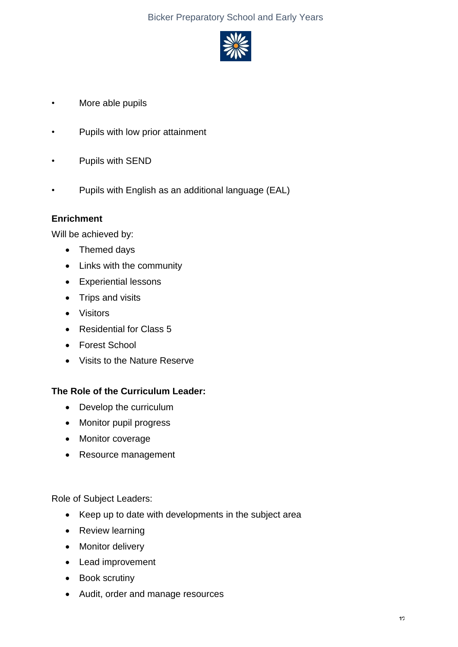## Bicker Preparatory School and Early Years



- More able pupils
- Pupils with low prior attainment
- Pupils with SEND
- Pupils with English as an additional language (EAL)

#### **Enrichment**

Will be achieved by:

- Themed days
- Links with the community
- Experiential lessons
- Trips and visits
- Visitors
- Residential for Class 5
- Forest School
- Visits to the Nature Reserve

#### **The Role of the Curriculum Leader:**

- Develop the curriculum
- Monitor pupil progress
- Monitor coverage
- Resource management

Role of Subject Leaders:

- Keep up to date with developments in the subject area
- Review learning
- Monitor delivery
- Lead improvement
- Book scrutiny
- Audit, order and manage resources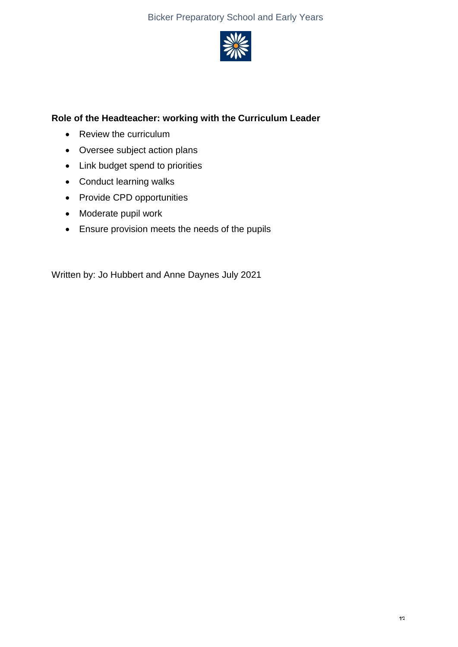

## **Role of the Headteacher: working with the Curriculum Leader**

- Review the curriculum
- Oversee subject action plans
- Link budget spend to priorities
- Conduct learning walks
- Provide CPD opportunities
- Moderate pupil work
- Ensure provision meets the needs of the pupils

Written by: Jo Hubbert and Anne Daynes July 2021